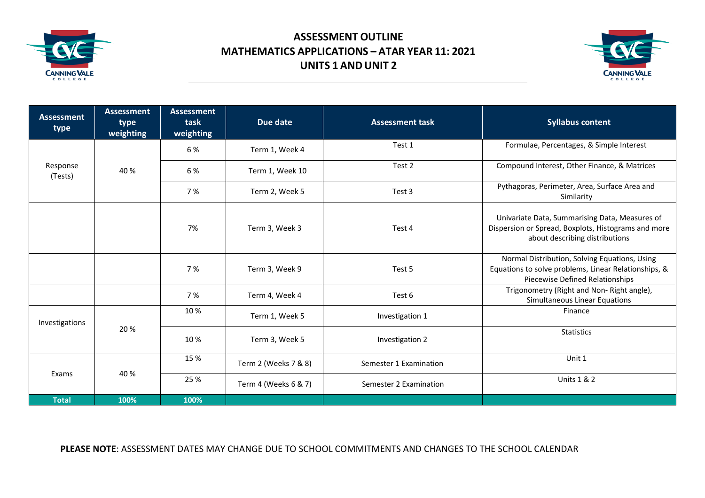

## **ASSESSMENT OUTLINE MATHEMATICS APPLICATIONS – ATAR YEAR 11: 2021 UNITS 1 ANDUNIT 2**



| <b>Assessment</b><br>type | <b>Assessment</b><br>type<br>weighting | <b>Assessment</b><br>task<br>weighting | Due date             | <b>Assessment task</b> | <b>Syllabus content</b>                                                                                                                  |
|---------------------------|----------------------------------------|----------------------------------------|----------------------|------------------------|------------------------------------------------------------------------------------------------------------------------------------------|
| Response<br>(Tests)       | 40 %                                   | 6 %                                    | Term 1, Week 4       | Test 1                 | Formulae, Percentages, & Simple Interest                                                                                                 |
|                           |                                        | 6 %                                    | Term 1, Week 10      | Test 2                 | Compound Interest, Other Finance, & Matrices                                                                                             |
|                           |                                        | 7 %                                    | Term 2, Week 5       | Test 3                 | Pythagoras, Perimeter, Area, Surface Area and<br>Similarity                                                                              |
|                           |                                        | 7%                                     | Term 3, Week 3       | Test 4                 | Univariate Data, Summarising Data, Measures of<br>Dispersion or Spread, Boxplots, Histograms and more<br>about describing distributions  |
|                           |                                        | 7%                                     | Term 3, Week 9       | Test 5                 | Normal Distribution, Solving Equations, Using<br>Equations to solve problems, Linear Relationships, &<br>Piecewise Defined Relationships |
|                           |                                        | 7 %                                    | Term 4, Week 4       | Test 6                 | Trigonometry (Right and Non-Right angle),<br>Simultaneous Linear Equations                                                               |
| Investigations            | 20%                                    | 10%                                    | Term 1, Week 5       | Investigation 1        | Finance                                                                                                                                  |
|                           |                                        | 10%                                    | Term 3, Week 5       | Investigation 2        | <b>Statistics</b>                                                                                                                        |
| Exams                     | 40 %                                   | 15 %                                   | Term 2 (Weeks 7 & 8) | Semester 1 Examination | Unit 1                                                                                                                                   |
|                           |                                        | 25 %                                   | Term 4 (Weeks 6 & 7) | Semester 2 Examination | <b>Units 1 &amp; 2</b>                                                                                                                   |
| <b>Total</b>              | 100%                                   | 100%                                   |                      |                        |                                                                                                                                          |

## **PLEASE NOTE**: ASSESSMENT DATES MAY CHANGE DUE TO SCHOOL COMMITMENTS AND CHANGES TO THE SCHOOL CALENDAR